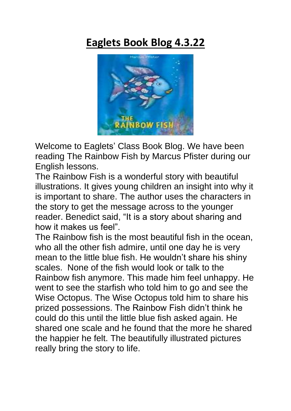# **Eaglets Book Blog 4.3.22**



Welcome to Eaglets' Class Book Blog. We have been reading The Rainbow Fish by Marcus Pfister during our English lessons.

The Rainbow Fish is a wonderful story with beautiful illustrations. It gives young children an insight into why it is important to share. The author uses the characters in the story to get the message across to the younger reader. Benedict said, "It is a story about sharing and how it makes us feel".

The Rainbow fish is the most beautiful fish in the ocean, who all the other fish admire, until one day he is very mean to the little blue fish. He wouldn't share his shiny scales. None of the fish would look or talk to the Rainbow fish anymore. This made him feel unhappy. He went to see the starfish who told him to go and see the Wise Octopus. The Wise Octopus told him to share his prized possessions. The Rainbow Fish didn't think he could do this until the little blue fish asked again. He shared one scale and he found that the more he shared the happier he felt. The beautifully illustrated pictures really bring the story to life.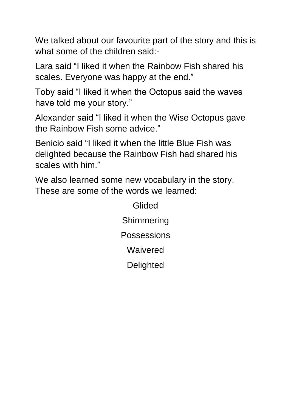We talked about our favourite part of the story and this is what some of the children said:-

Lara said "I liked it when the Rainbow Fish shared his scales. Everyone was happy at the end."

Toby said "I liked it when the Octopus said the waves have told me your story."

Alexander said "I liked it when the Wise Octopus gave the Rainbow Fish some advice."

Benicio said "I liked it when the little Blue Fish was delighted because the Rainbow Fish had shared his scales with him."

We also learned some new vocabulary in the story. These are some of the words we learned:

> Glided **Shimmering Possessions Waivered Delighted**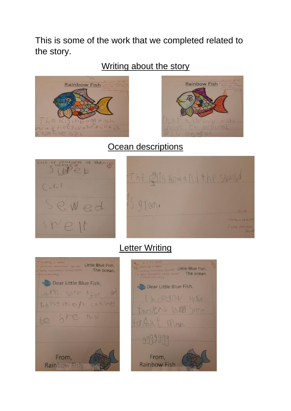This is some of the work that we completed related to the story.

### Writing about the story





#### Ocean descriptions





## Letter Writing